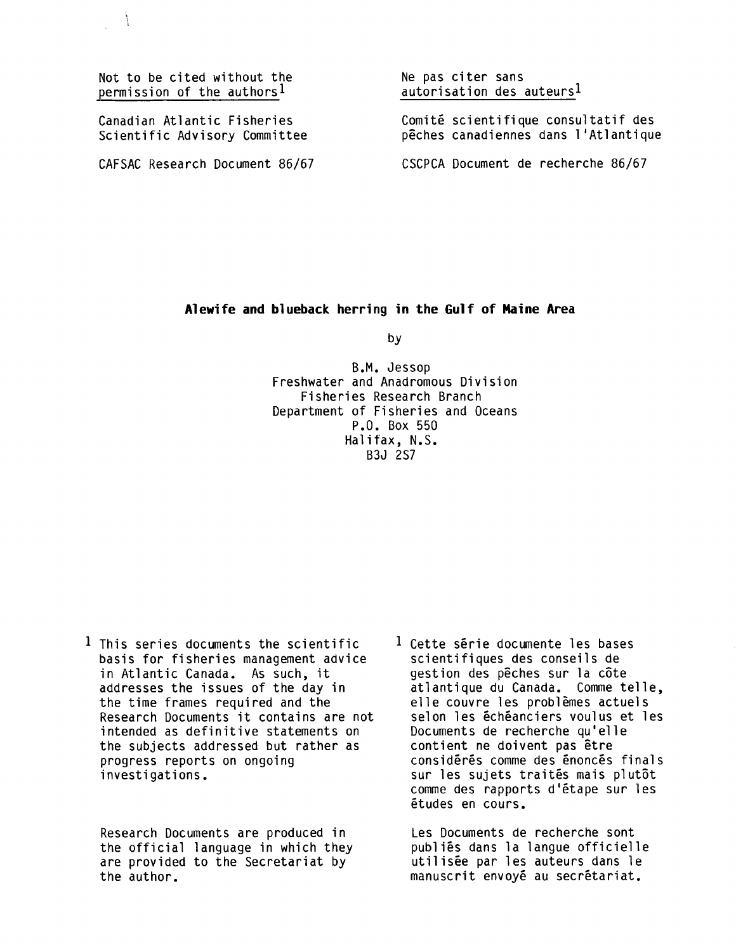Not to be cited without the permission of the authors'

Canadian Atlantic Fisheries Scientific Advisory Committee

CAFSAC Research Document 86/67

Ne pas citer sans autorisation des auteursl

Comité scientifique consultatif des peches canadiennes dans l'Atlantique

CSCPCA Document de recherche 86/67

## Alewife and blueback herring in the Gulf of Maine Area

by

B.M. Jessop Freshwater and Anadromous Division Fisheries Research Branch Department of Fisheries and Oceans P.O. Box 550 Halifax, N.S. B3J 2S7

<sup>1</sup> This series documents the scientific basis for fisheries management advice in Atlantic Canada. As such, it addresses the issues of the day in the time frames required and the Research Documents it contains are not intended as definitive statements on the subjects addressed but rather as progress reports on ongoing investigations.

Research Documents are produced in the official language in which they are provided to the Secretariat by the author.

 $1$  Cette série documente les bases scientifiques des conseils de gestion des peches sur la cote atlantique du Canada. Comme telle, elle couvre les problemes actuels selon les échéanciers voulus et les Documents de recherche qu'elle contient ne doivent pas être considérés comme des énoncés finals sur les sujets traités mais plutôt comme des rapports d'etape sur les etudes en cours.

Les Documents de recherche sont publies dans la langue officielle utilisee par les auteurs dans le manuscrit envoyé au secrétariat.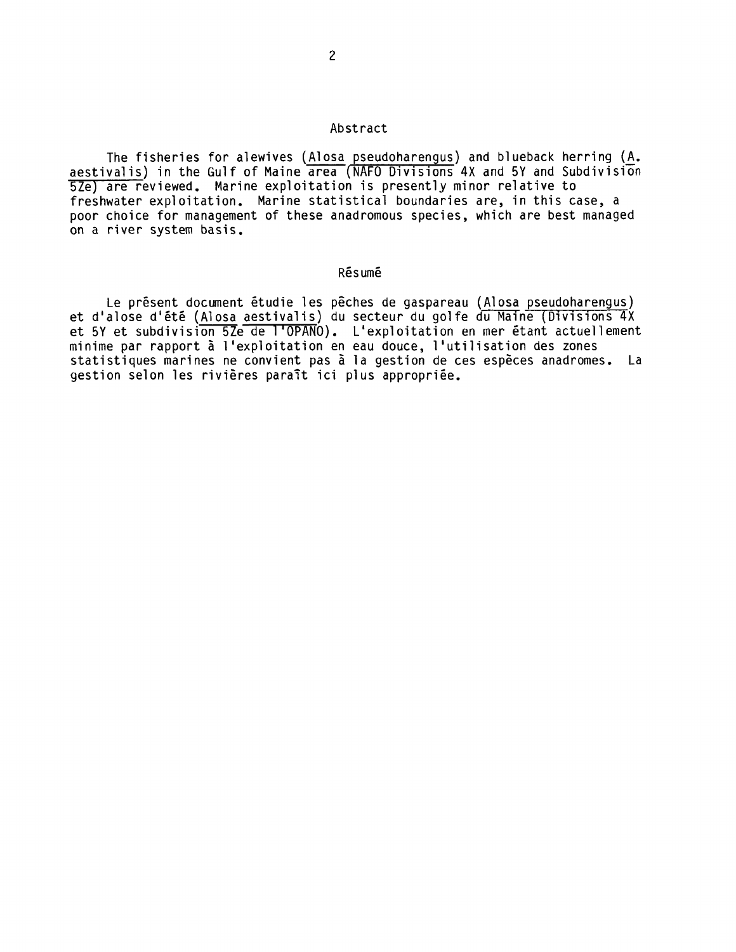## Abstract

The fisheries for alewives (Alosa pseudoharengus) and blueback herring (A. aestivalis) in the Gulf of Maine area (NAFO Divisions 4X and 5Y and Subdivision 5Ze) are reviewed. Marine exploitation is presently minor relative to freshwater exploitation. Marine statistical boundaries are, in this case, a poor choice for management of these anadromous species, which are best managed on a river system basis.

## Resume

Le présent document étudie les pêches de gaspareau (Alosa pseudoharengus) et d'alose d'été (Alosa aestivalis) du secteur du golfe du Maine (Divisions 4X et 5Y et subdivision 5Ze de l'OPANO). L'exploitation en mer étant actuellement minime par rapport a 1'exploitation en eau douce, l'utilisation des zones statistiques marines ne convient pas à la gestion de ces espèces anadromes. La gestion selon les rivières paraît ici plus appropriée.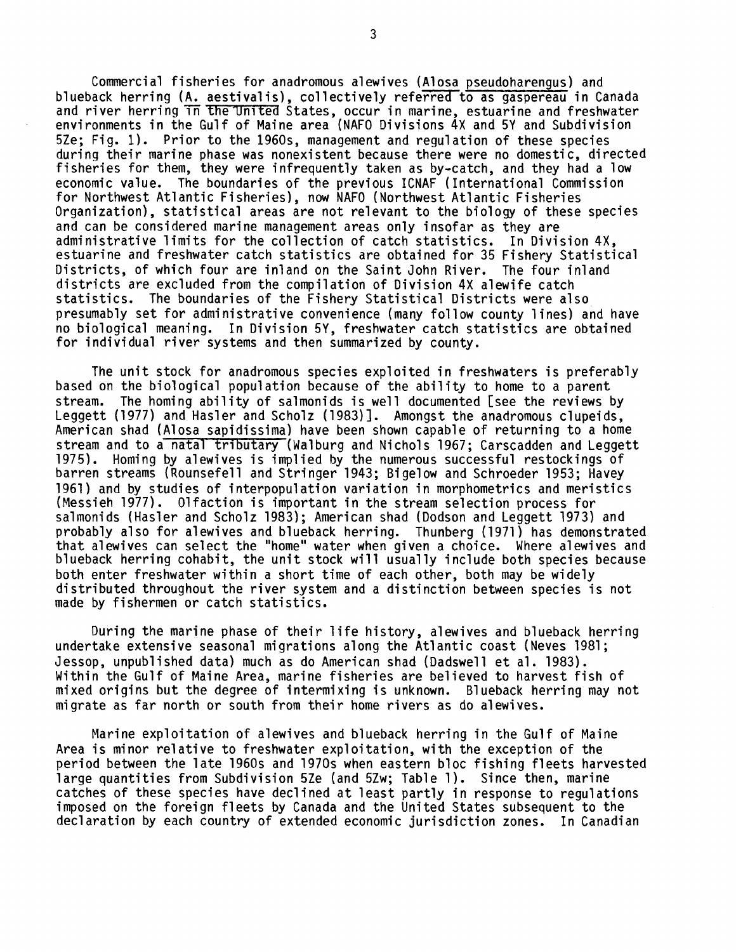Commercial fisheries for anadromous alewives (Alosa pseudoharengus) and blueback herring (A. aestivalis), collectively referred to as gaspereau in Canada and river herring in the United States, occur in marine, estuarine and freshwater environments in the Gulf of Maine area (NAFO Divisions 4X and 5Y and Subdivision 5Ze; Fig. 1). Prior to the 1960s, management and regulation of these species during their marine phase was nonexistent because there were no domestic, directed fisheries for them, they were infrequently taken as by-catch, and they had a low economic value. The boundaries of the previous ICNAF (International Commission for Northwest Atlantic Fisheries), now NAFO (Northwest Atlantic Fisheries Organization), statistical areas are not relevant to the biology of these species and can be considered marine management areas only insofar as they are administrative limits for the collection of catch statistics. In Division 4X, estuarine and freshwater catch statistics are obtained for 35 Fishery Statistical Districts, of which four are inland on the Saint John River. The four inland districts are excluded from the compilation of Division 4X alewife catch statistics. The boundaries of the Fishery Statistical Districts were also presumably set for administrative convenience (many follow county lines) and have no biological meaning. In Division 5Y, freshwater catch statistics are obtained for individual river systems and then summarized by county.

The unit stock for anadromous species exploited in freshwaters is preferably based on the biological population because of the ability to home to a parent stream. The homing ability of salmonids is well documented [see the reviews by Leggett (1977) and Hasler and Scholz (1983)]. Amongst the anadromous clupeids, American shad (Alosa sapidissima) have been shown capable of returning to a home stream and to a natal tributary (Walburg and Nichols 1967; Carscadden and Leggett 1975). Homing by alewives is implied by the numerous successful restockings of barren streams (Rounsefell and Stringer 1943; Bigelow and Schroeder 1953; Havey 1961) and by studies of interpopulation variation in morphometrics and meristics (Messieh 1977). Olfaction is important in the stream selection process for salmonids (Hasler and Scholz 1983); American shad (Dodson and Leggett 1973) and probably also for alewives and blueback herring. Thunberg (1971) has demonstrated that alewives can select the "home" water when given a choice. Where alewives and blueback herring cohabit, the unit stock will usually include both species because both enter freshwater within a short time of each other, both may be widely distributed throughout the river system and a distinction between species is not made by fishermen or catch statistics.

During the marine phase of their life history, alewives and blueback herring undertake extensive seasonal migrations along the Atlantic coast (Neves 1981; Jessop, unpublished data) much as do American shad (Dadswell et al. 1983). Within the Gulf of Maine Area, marine fisheries are believed to harvest fish of mixed origins but the degree of intermixing is unknown. Blueback herring may not migrate as far north or south from their home rivers as do alewives.

Marine exploitation of alewives and blueback herring in the Gulf of Maine Area is minor relative to freshwater exploitation, with the exception of the period between the late 1960s and 1970s when eastern bloc fishing fleets harvested large quantities from Subdivision 5Ze (and 5Zw; Table 1). Since then, marine catches of these species have declined at least partly in response to regulations imposed on the foreign fleets by Canada and the United States subsequent to the declaration by each country of extended economic jurisdiction zones. In Canadian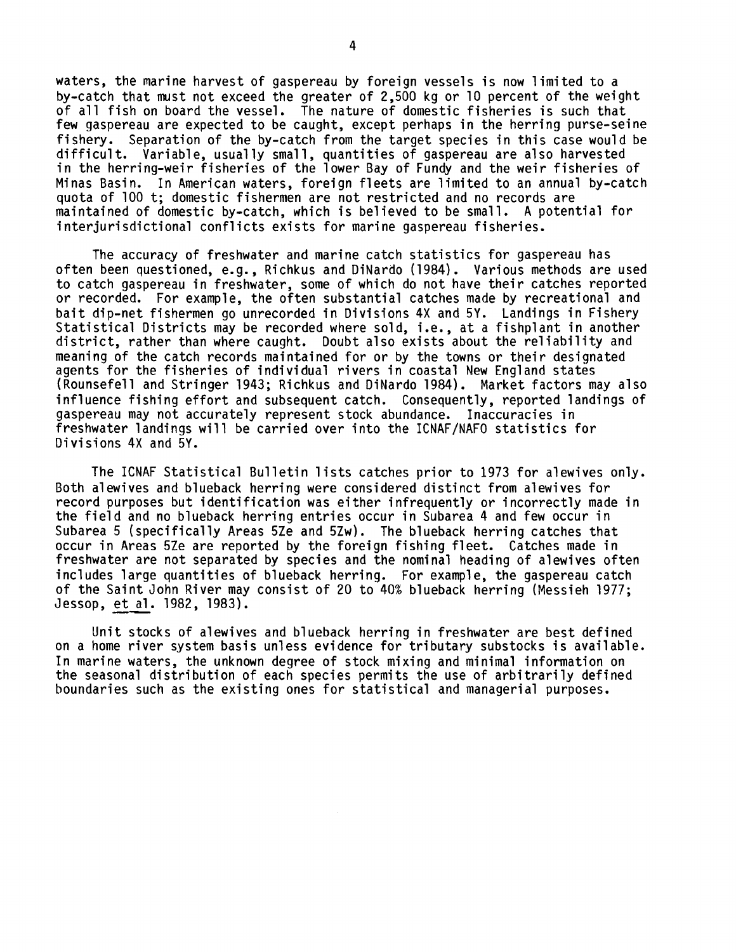waters, the marine harvest of gaspereau by foreign vessels is now limited to a by-catch that must not exceed the greater of 2,500 kg or 10 percent of the weight of all fish on board the vessel. The nature of domestic fisheries is such that few gaspereau are expected to be caught, except perhaps in the herring purse-seine fishery. Separation of the by-catch from the target species in this case would be difficult. Variable, usually small, quantities of gaspereau are also harvested in the herring-weir fisheries of the lower Bay of Fundy and the weir fisheries of Minas Basin. In American waters, foreign fleets are limited to an annual by-catch quota of 100 t; domestic fishermen are not restricted and no records are maintained of domestic by-catch, which is believed to be small. A potential for interjurisdictional conflicts exists for marine gaspereau fisheries.

The accuracy of freshwater and marine catch statistics for gaspereau has often been questioned, e.g., Richkus and DiNardo (1984). Various methods are used to catch gaspereau in freshwater, some of which do not have their catches reported or recorded. For example, the often substantial catches made by recreational and bait dip-net fishermen go unrecorded in Divisions 4X and 5Y. Landings in Fishery Statistical Districts may be recorded where sold, i.e., at a fishplant in another district, rather than where caught. Doubt also exists about the reliability and meaning of the catch records maintained for or by the towns or their designated agents for the fisheries of individual rivers in coastal New England states (Rounsefell and Stringer 1943; Richkus and DiNardo 1984). Market factors may also influence fishing effort and subsequent catch. Consequently, reported landings of gaspereau may not accurately represent stock abundance. Inaccuracies in freshwater landings will be carried over into the ICNAF/NAFO statistics for Divisions 4X and 5Y.

The ICNAF Statistical Bulletin lists catches prior to 1973 for alewives only. Both alewives and blueback herring were considered distinct from alewives for record purposes but identification was either infrequently or incorrectly made in the field and no blueback herring entries occur in Subarea 4 and few occur in Subarea 5 (specifically Areas 5Ze and 5Zw). The blueback herring catches that occur in Areas 5Ze are reported by the foreign fishing fleet. Catches made in freshwater are not separated by species and the nominal heading of alewives often includes large quantities of blueback herring. For example, the gaspereau catch of the Saint John River may consist of 20 to 40% blueback herring (Messieh 1977; Jessop, et al. 1982, 1983).

Unit stocks of alewives and blueback herring in freshwater are best defined on a home river system basis unless evidence for tributary substocks is available. In marine waters, the unknown degree of stock mixing and minimal information on the seasonal distribution of each species permits the use of arbitrarily defined boundaries such as the existing ones for statistical and managerial purposes.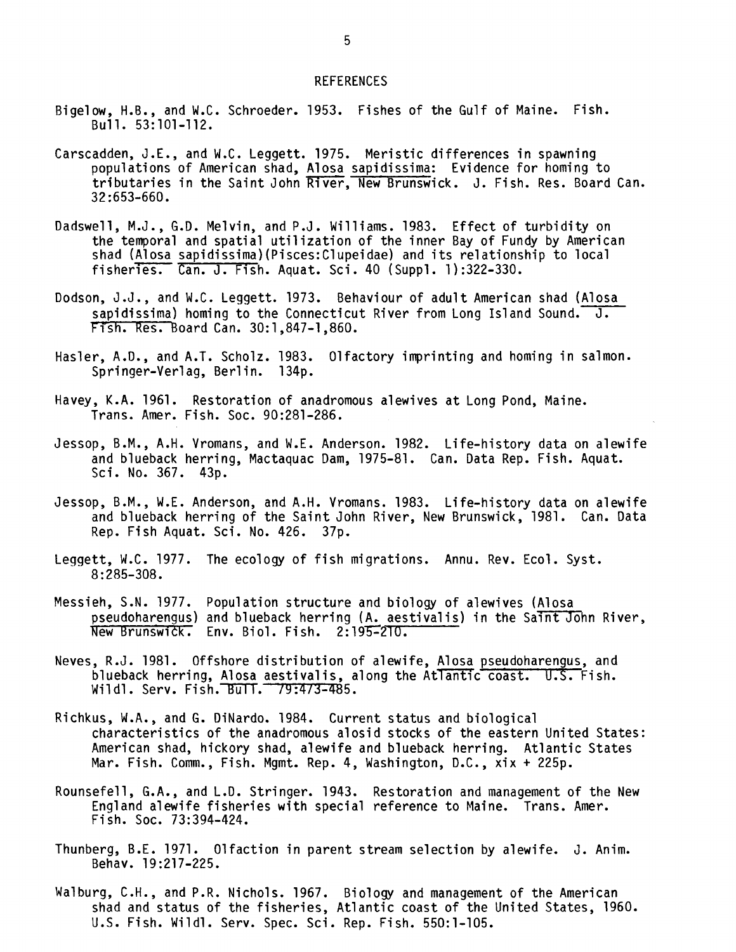## REFERENCES

- Bigelow, H.B., and W.C. Schroeder. 1953. Fishes of the Gulf of Maine. Fish. Bull. 53:101-112.
- Carscadden, J.E., and W.C. Leggett. 1975. Meristic differences in spawning populations of American shad, Alosa sapidissima: Evidence for homing to tributaries in the Saint John River, New Brunswick. J. Fish. Res. Board Can. 32:653-660.
- Dadswell, M.J., G.D. Melvin, and P.J. Williams. 1983. Effect of turbidity on the temporal and spatial utilization of the inner Bay of Fundy by American shad (Alosa sapidissima)(Pisces:Clupeidae) and its relationship to local fisheries. Can. J. Fish. Aquat. Sci. 40 (Suppl. 1):322-330.
- Dodson, J.J., and W.C. Leggett. 1973. Behaviour of adult American shad (Alosa sapidissima) homing to the Connecticut River from Long Island Sound.  $\overline{J}$ . Fish. Res. Board Can. 30:1,847-1,860.
- Hasler, A.D., and A.T. Scholz. 1983. Olfactory imprinting and homing in salmon. Springer-Verlag, Berlin. 134p.
- Havey, K.A. 1961. Restoration of anadromous alewives at Long Pond, Maine. Trans. Amer. Fish. Soc. 90:281-286.
- Jessop, B.M., A.H. Vromans, and W.E. Anderson. 1982. Life-history data on alewife and blueback herring, Mactaquac Dam, 1975-81. Can. Data Rep. Fish. Aquat. Sci. No. 367. 43p.
- Jessop, B.M., W.E. Anderson, and A.H. Vromans. 1983. Life-history data on alewife and blueback herring of the Saint John River, New Brunswick, 1981. Can. Data Rep. Fish Aquat. Sci. No. 426. 37p.
- Leggett, W.C. 1977. The ecology of fish migrations. Annu. Rev. Ecol. Syst. 8:285-308.
- Messieh, S.N. 1977. Population structure and biology of alewives (Alosa pseudoharengus) and blueback herring (A. aestivalis) in the Saint John River, New Brunswick. Env. Biol. Fish. 2:195-210.
- Neves, R.J. 1981. Offshore distribution of alewife, Alosa pseudoharengus, and blueback herring, Alosa aestivalis, along the Atlantic coast. U.S. Fish. Wildl. Serv. Fish. Bull. 79:473-485.
- Richkus, W.A., and G. DiNardo. 1984. Current status and biological characteristics of the anadromous alosid stocks of the eastern United States: American shad, hickory shad, alewife and blueback herring. Atlantic States Mar. Fish. Comm., Fish. Mgmt. Rep. 4, Washington, D.C., xix + 225p.
- Rounsefell, G.A., and L.D. Stringer. 1943. Restoration and management of the New England alewife fisheries with special reference to Maine. Trans. Amer. Fish. Soc. 73:394-424.
- Thunberg, B.E. 1971. Olfaction in parent stream selection by alewife. J. Anim. Behay. 19:217-225.
- Walburg, C.H., and P.R. Nichols. 1967. Biology and management of the American shad and status of the fisheries, Atlantic coast of the United States, 1960. U.S. Fish. Wildl. Serv. Spec. Sci. Rep. Fish. 550:1-105.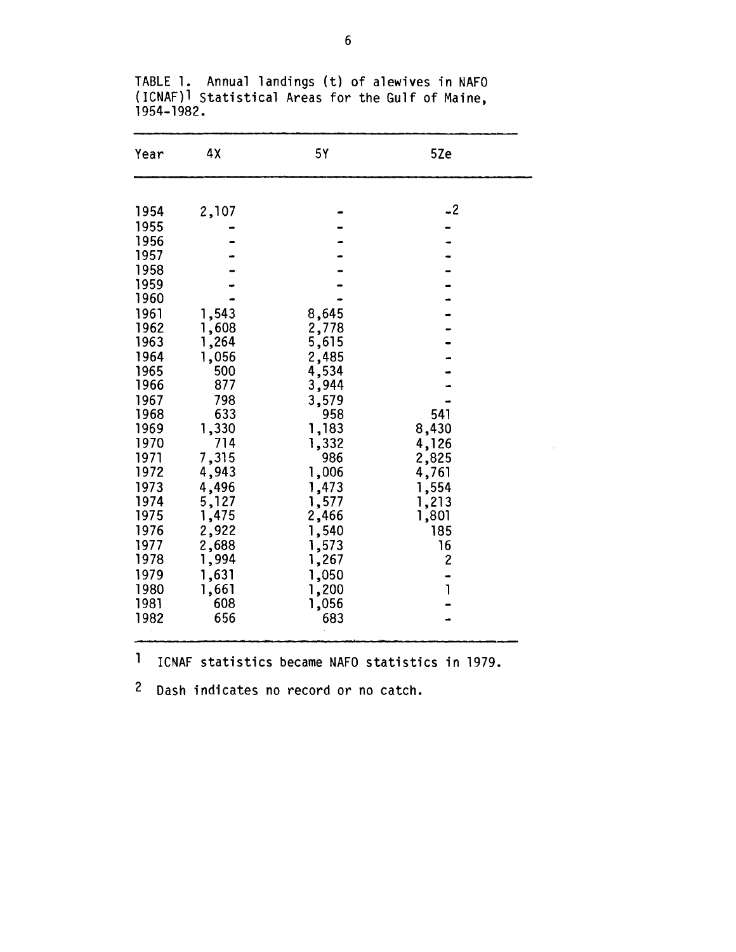| Year         | 4χ             | 5Y             | 5Ze            |
|--------------|----------------|----------------|----------------|
| 1954         | 2,107          |                | $-2$           |
| 1955         |                |                |                |
| 1956         |                |                |                |
| 1957         |                |                |                |
| 1958         |                |                |                |
| 1959         |                |                |                |
| 1960         |                |                |                |
| 1961         | 1,543          | 8,645          |                |
| 1962<br>1963 | 1,608          | 2,778          |                |
| 1964         | 1,264<br>1,056 | 5,615<br>2,485 |                |
| 1965         | 500            | 4,534          |                |
| 1966         | 877            | 3,944          |                |
| 1967         | 798            | 3,579          |                |
| 1968         | 633            | 958            | 541            |
| 1969         | 1,330          | 1,183          | 8,430          |
| 1970         | 714            | 1,332          | 4,126          |
| 1971         | 7,315          | 986            | 2,825          |
| 1972         | 4,943          | 1,006          | 4,761          |
| 1973         | 4,496          | 1,473          | 1,554          |
| 1974         | 5,127          | 1,577          | 1,213          |
| 1975         | 1,475          | 2,466          | 1,801          |
| 1976         | 2,922          | 1,540          | 185            |
| 1977         | 2,688          | 1,573          | 16             |
| 1978         | 1,994          | 1,267          | $\overline{c}$ |
| 1979         | 1,631          | 1,050          |                |
| 1980         | 1,661          | 1,200          | <sup>1</sup>   |
| 1981         | 608            | 1,056          |                |
| 1982         | 656            | 683            |                |

TABLE 1. Annual landings (t) of alewives in NAF( (ICNAF)l Statistical Areas for the Gulf of Maine, 1954-1982.

ICNAF statistics became NAFO statistics in 1979.

Dash indicates no record or no catch.